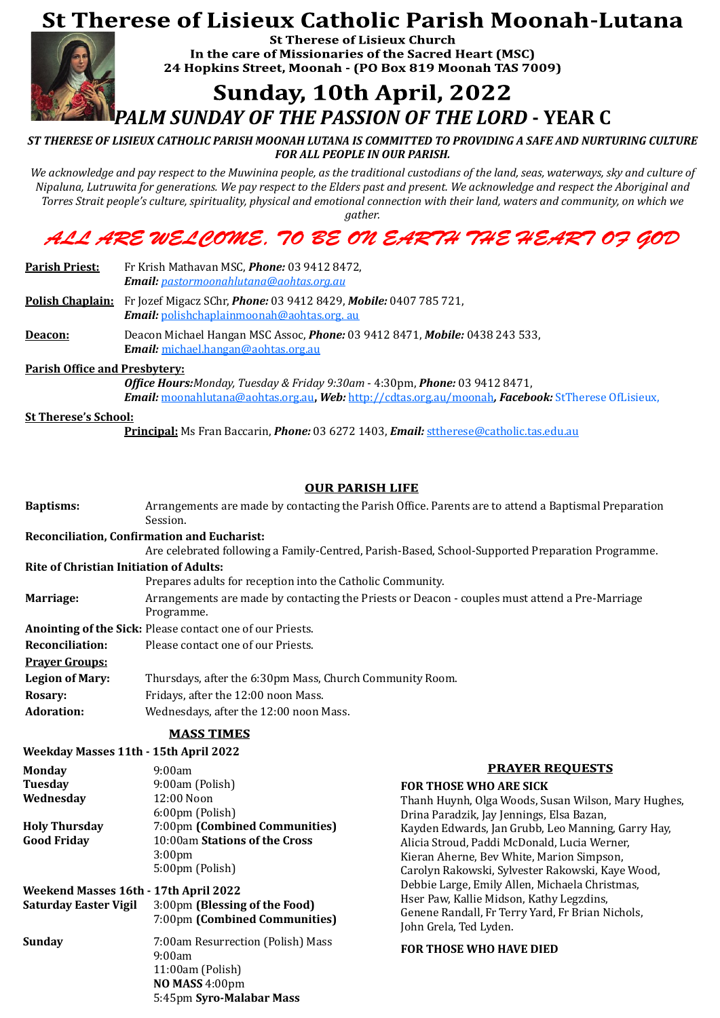## **St Therese of Lisieux Catholic Parish Moonah-Lutana**



**St Therese of Lisieux Church** In the care of Missionaries of the Sacred Heart (MSC) 24 Hopkins Street, Moonah - (PO Box 819 Moonah TAS 7009)

## Sunday, 10th April, 2022 *PALM SUNDAY OF THE PASSION OF THE LORD* **- YEAR C**

*ST THERESE OF LISIEUX CATHOLIC PARISH MOONAH LUTANA IS COMMITTED TO PROVIDING A SAFE AND NURTURING CULTURE FOR ALL PEOPLE IN OUR PARISH.*

*We acknowledge and pay respect to the Muwinina people, as the traditional custodians of the land, seas, waterways, sky and culture of Nipaluna, Lutruwita for generations. We pay respect to the Elders past and present. We acknowledge and respect the Aboriginal and Torres Strait people's culture, spirituality, physical and emotional connection with their land, waters and community, on which we* 

*gather.*

## ALL ARE WEL COME, 70 BE ON EARTH THE HEART 07 GOD

**Parish Priest:** Fr Krish Mathavan MSC, *Phone:* 03 9412 8472, *Email: [pastormoonahlutana@aohtas.org.au](mailto:pastormoonahlutana@netspace.net.au)*

**Polish Chaplain:** Fr Jozef Migacz SChr, *Phone:* 03 9412 8429, *Mobile:* 0407 785 721, *Email:* [polishchaplainmoonah@aohtas.org. au](mailto:polishcgaplinmoonah@aohtas.org.%20au)

**Deacon:** Deacon Michael Hangan MSC Assoc, *Phone:* 03 9412 8471, *Mobile:* 0438 243 533, **E***mail:* [michael.hangan@aohtas.org.au](mailto:michael.hangan@aohtas.org.au)

**Parish Office and Presbytery:**

*Office Hours:Monday, Tuesday & Friday 9:30am* - 4:30pm, *Phone:* 03 9412 8471, *Email:* [moonahlutana@aohtas.org.au](mailto:moonahlutana@aohtas.org.au)**,** *Web:* <http://cdtas.org.au/moonah>*, Facebook:* StTherese OfLisieux,

#### **St Therese's School:**

**Principal:** Ms Fran Baccarin, *Phone:* 03 6272 1403, *Email:* [sttherese@catholic.tas.edu.au](mailto:sttherese@catholic.tas.edu.au)

#### **OUR PARISH LIFE**

**PRAYER REQUESTS Monday** 9:00am Thanh Huynh, Olga Woods, Susan Wilson, Mary Hughes, Drina Paradzik, Jay Jennings, Elsa Bazan, Kayden Edwards, Jan Grubb, Leo Manning, Garry Hay, Alicia Stroud, Paddi McDonald, Lucia Werner, Kieran Aherne, Bev White, Marion Simpson, Carolyn Rakowski, Sylvester Rakowski, Kaye Wood, Debbie Large, Emily Allen, Michaela Christmas, Hser Paw, Kallie Midson, Kathy Legzdins, Genene Randall, Fr Terry Yard, Fr Brian Nichols,

| <b>Baptisms:</b>                               | Arrangements are made by contacting the Parish Office. Parents are to attend a Baptismal Preparation |
|------------------------------------------------|------------------------------------------------------------------------------------------------------|
|                                                | Session.                                                                                             |
|                                                | <b>Reconciliation, Confirmation and Eucharist:</b>                                                   |
|                                                | Are celebrated following a Family-Centred, Parish-Based, School-Supported Preparation Programme.     |
| <b>Rite of Christian Initiation of Adults:</b> |                                                                                                      |
|                                                | Prepares adults for reception into the Catholic Community.                                           |
| Marriage:                                      | Arrangements are made by contacting the Priests or Deacon - couples must attend a Pre-Marriage       |
|                                                | Programme.                                                                                           |
|                                                | Anointing of the Sick: Please contact one of our Priests.                                            |
| <b>Reconciliation:</b>                         | Please contact one of our Priests.                                                                   |
| <b>Prayer Groups:</b>                          |                                                                                                      |
| <b>Legion of Mary:</b>                         | Thursdays, after the 6:30pm Mass, Church Community Room.                                             |
| <b>Rosary:</b>                                 | Fridays, after the 12:00 noon Mass.                                                                  |
| <b>Adoration:</b>                              | Wednesdays, after the 12:00 noon Mass.                                                               |
|                                                | <b>MASS TIMES</b>                                                                                    |

**Weekday Masses 11th - 15th April 2022**

**Tuesday** 9:00am (Polish) **Wednesday** 12:00 Noon 6:00pm (Polish) **Holy Thursday** 7:00pm **(Combined Communities) Good Friday** 10:00am **Stations of the Cross** 3:00pm 5:00pm (Polish) **Weekend Masses 16th - 17th April 2022 Saturday Easter Vigil** 3:00pm **(Blessing of the Food)** 7:00pm **(Combined Communities) Sunday** 7:00am Resurrection (Polish) Mass 9:00am 11:00am (Polish) **NO MASS** 4:00pm 5:45pm **Syro-Malabar Mass FOR THOSE WHO ARE SICK** John Grela, Ted Lyden. **FOR THOSE WHO HAVE DIED**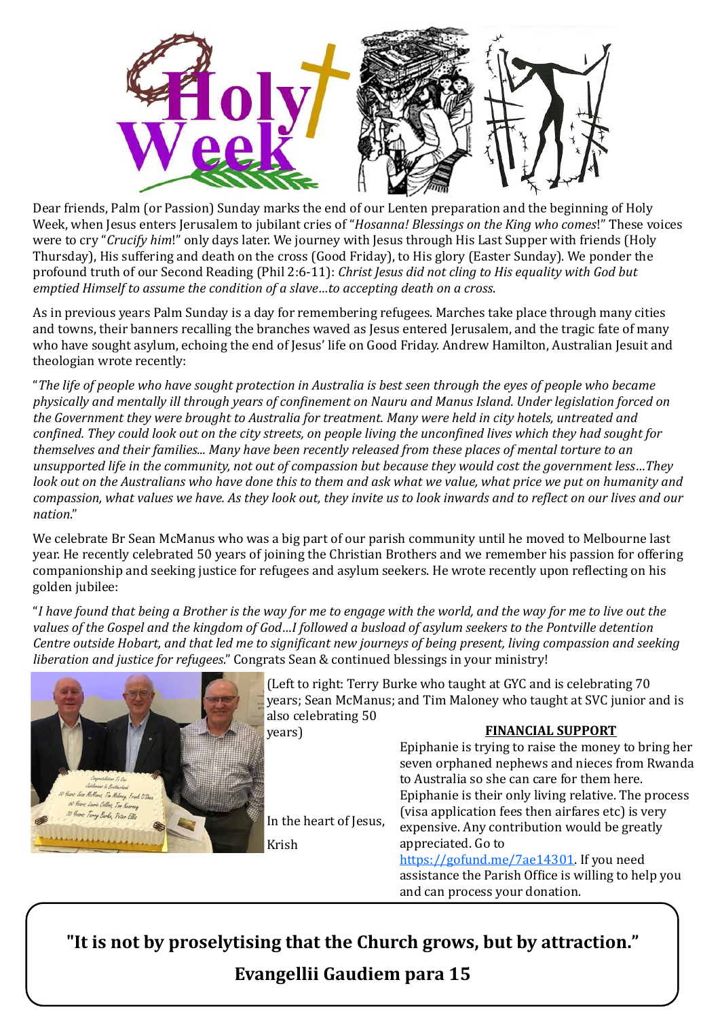

Dear friends, Palm (or Passion) Sunday marks the end of our Lenten preparation and the beginning of Holy Week, when Jesus enters Jerusalem to jubilant cries of "*Hosanna! Blessings on the King who comes*!" These voices were to cry "*Crucify him*!" only days later. We journey with Jesus through His Last Supper with friends (Holy Thursday), His suffering and death on the cross (Good Friday), to His glory (Easter Sunday). We ponder the profound truth of our Second Reading (Phil 2:6-11): *Christ Jesus did not cling to His equality with God but emptied Himself to assume the condition of a slave…to accepting death on a cross*.

As in previous years Palm Sunday is a day for remembering refugees. Marches take place through many cities and towns, their banners recalling the branches waved as Jesus entered Jerusalem, and the tragic fate of many who have sought asylum, echoing the end of Jesus' life on Good Friday. Andrew Hamilton, Australian Jesuit and theologian wrote recently:

"*The life of people who have sought protection in Australia is best seen through the eyes of people who became physically and mentally ill through years of confinement on Nauru and Manus Island. Under legislation forced on the Government they were brought to Australia for treatment. Many were held in city hotels, untreated and confined. They could look out on the city streets, on people living the unconfined lives which they had sought for themselves and their families... Many have been recently released from these places of mental torture to an unsupported life in the community, not out of compassion but because they would cost the government less…They*  look out on the Australians who have done this to them and ask what we value, what price we put on humanity and *compassion, what values we have. As they look out, they invite us to look inwards and to reflect on our lives and our nation*."

We celebrate Br Sean McManus who was a big part of our parish community until he moved to Melbourne last year. He recently celebrated 50 years of joining the Christian Brothers and we remember his passion for offering companionship and seeking justice for refugees and asylum seekers. He wrote recently upon reflecting on his golden jubilee:

"*I have found that being a Brother is the way for me to engage with the world, and the way for me to live out the values of the Gospel and the kingdom of God…I followed a busload of asylum seekers to the Pontville detention Centre outside Hobart, and that led me to significant new journeys of being present, living compassion and seeking liberation and justice for refugees*." Congrats Sean & continued blessings in your ministry!



(Left to right: Terry Burke who taught at GYC and is celebrating 70 years; Sean McManus; and Tim Maloney who taught at SVC junior and is also celebrating 50 years)

In the heart of Jesus,

Krish

**"It is not by proselytising that the Church grows, but by attraction."**

**Evangellii Gaudiem para 15**

### **FINANCIAL SUPPORT**

Epiphanie is trying to raise the money to bring her seven orphaned nephews and nieces from Rwanda to Australia so she can care for them here. Epiphanie is their only living relative. The process (visa application fees then airfares etc) is very expensive. Any contribution would be greatly appreciated. Go to [https://gofund.me/7ae14301.](https://gofund.me/7ae14301) If you need assistance the Parish Office is willing to help you and can process your donation.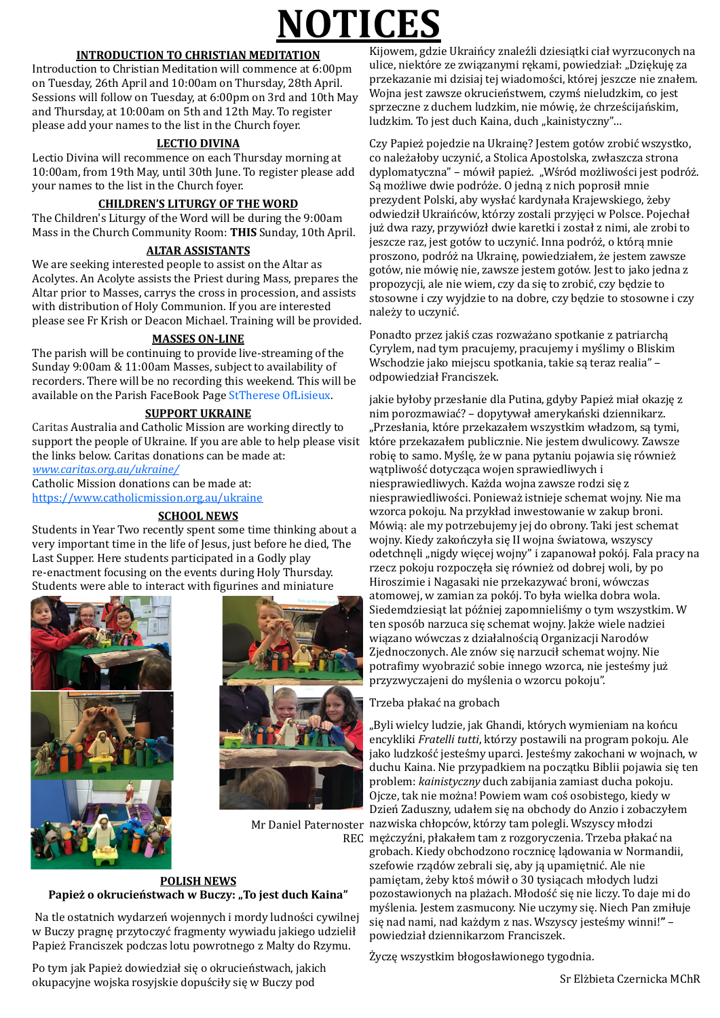# **NOTICES**

#### **INTRODUCTION TO CHRISTIAN MEDITATION**

Introduction to Christian Meditation will commence at 6:00pm on Tuesday, 26th April and 10:00am on Thursday, 28th April. Sessions will follow on Tuesday, at 6:00pm on 3rd and 10th May and Thursday, at 10:00am on 5th and 12th May. To register please add your names to the list in the Church foyer.

#### **LECTIO DIVINA**

Lectio Divina will recommence on each Thursday morning at 10:00am, from 19th May, until 30th June. To register please add your names to the list in the Church foyer.

#### **CHILDREN'S LITURGY OF THE WORD**

The Children's Liturgy of the Word will be during the 9:00am Mass in the Church Community Room: **THIS** Sunday, 10th April.

#### **ALTAR ASSISTANTS**

We are seeking interested people to assist on the Altar as Acolytes. An Acolyte assists the Priest during Mass, prepares the Altar prior to Masses, carrys the cross in procession, and assists with distribution of Holy Communion. If you are interested please see Fr Krish or Deacon Michael. Training will be provided.

#### **MASSES ON-LINE**

Na tle ostatnich wydarzeń wojennych i mordy ludności cywilnej w Buczy pragnę przytoczyc fragmenty wywiadu jakiego udzielił Papiez Franciszek podczas lotu powrotnego z Malty do Rzymu.

Po tym jak Papież dowiedział się o okrucieństwach, jakich okupacyjne wojska rosyjskie dopuściły się w Buczy pod

Życzę wszystkim błogosławionego tygodnia.

Sr Elżbieta Czernicka MChR

The parish will be continuing to provide live-streaming of the Sunday 9:00am & 11:00am Masses, subject to availability of recorders. There will be no recording this weekend. This will be available on the Parish FaceBook Page StTherese OfLisieux.

#### **SUPPORT UKRAINE**

Caritas Australia and Catholic Mission are working directly to support the people of Ukraine. If you are able to help please visit the links below. Caritas donations can be made at: *[www.caritas.org.au/ukraine/](https://hes32-ctp.trendmicro.com/wis/clicktime/v1/query?url=http%3a%2f%2fwww.caritas.org.au%2fdonate%2femergency%2dappeals%2fukraine%2f&umid=5a8862a7-bec0-46e4-a2f3-84a35ed82562&auth=44ba8ce275bc61e46d1d7ea6d8710c2512e85123-9e4b1c837ab93a6a965fed0cfad09f27b66)* Catholic Mission donations can be made at: <https://www.catholicmission.org.au/ukraine>

#### **SCHOOL NEWS**

Students in Year Two recently spent some time thinking about a very important time in the life of Jesus, just before he died, The Last Supper. Here students participated in a Godly play re-enactment focusing on the events during Holy Thursday. Students were able to interact with figurines and miniature





Kijowem, gdzie Ukraińcy znaleźli dziesiątki ciał wyrzuconych na ulice, niektóre ze związanymi rękami, powiedział: "Dziękuję za przekazanie mi dzisiaj tej wiadomości, której jeszcze nie znałem. Wojna jest zawsze okrucieństwem, czymś nieludzkim, co jest sprzeczne z duchem ludzkim, nie mówię, że chrześcijańskim, ludzkim. To jest duch Kaina, duch "kainistyczny"...

Czy Papież pojedzie na Ukrainę? Jestem gotów zrobić wszystko, co należałoby uczynić, a Stolica Apostolska, zwłaszcza strona dyplomatyczna" – mówił papież. "Wśród możliwości jest podróż. Są możliwe dwie podróże. O jedną z nich poprosił mnie prezydent Polski, aby wysłać kardynała Krajewskiego, żeby odwiedził Ukraińców, którzy zostali przyjęci w Polsce. Pojechał już dwa razy, przywiózł dwie karetki i został z nimi, ale zrobi to jeszcze raz, jest gotów to uczynić. Inna podróż, o którą mnie proszono, podróż na Ukrainę, powiedziałem, że jestem zawsze gotów, nie mówię nie, zawsze jestem gotów. Jest to jako jedna z propozycji, ale nie wiem, czy da się to zrobić, czy będzie to stosowne i czy wyjdzie to na dobre, czy będzie to stosowne i czy należy to uczynić.

Ponadto przez jakiś czas rozważano spotkanie z patriarchą Cyrylem, nad tym pracujemy, pracujemy i myślimy o Bliskim Wschodzie jako miejscu spotkania, takie są teraz realia" – odpowiedział Franciszek.

jakie byłoby przesłanie dla Putina, gdyby Papiez miał okazję z nim porozmawiać? – dopytywał amerykański dziennikarz. "Przesłania, które przekazałem wszystkim władzom, są tymi, które przekazałem publicznie. Nie jestem dwulicowy. Zawsze robie to samo. Myśle, że w pana pytaniu pojawia się również wątpliwość dotycząca wojen sprawiedliwych i niesprawiedliwych. Każda wojna zawsze rodzi się z niesprawiedliwości. Ponieważ istnieje schemat wojny. Nie ma wzorca pokoju. Na przykład inwestowanie w zakup broni. Mówią: ale my potrzebujemy jej do obrony. Taki jest schemat wojny. Kiedy zakończyła się II wojna światowa, wszyscy odetchnęli "nigdy więcej wojny" i zapanował pokój. Fala pracy na rzecz pokoju rozpoczęła się również od dobrej woli, by po Hiroszimie i Nagasaki nie przekazywać broni, wówczas atomowej, w zamian za pokój. To była wielka dobra wola. Siedemdziesiąt lat później zapomnieliśmy o tym wszystkim. W ten sposób narzuca się schemat wojny. Jakże wiele nadziei wiązano wówczas z działalnością Organizacji Narodów Zjednoczonych. Ale znów się narzucił schemat wojny. Nie potrafimy wyobrazić sobie innego wzorca, nie jesteśmy już przyzwyczajeni do myślenia o wzorcu pokoju".

#### **POLISH NEWS Papież o okrucieństwach w Buczy: "To jest duch Kaina"**

Mr Daniel Paternoster nazwiska chłopców, którzy tam polegli. Wszyscy młodzi REC mężczyźni, płakałem tam z rozgoryczenia. Trzeba płakać na "Byli wielcy ludzie, jak Ghandi, których wymieniam na końcu encykliki *Fratelli tutti*, którzy postawili na program pokoju. Ale jako ludzkość jesteśmy uparci. Jesteśmy zakochani w wojnach, w duchu Kaina. Nie przypadkiem na początku Biblii pojawia się ten problem: *kainistyczny* duch zabijania zamiast ducha pokoju. Ojcze, tak nie można! Powiem wam coś osobistego, kiedy w Dzien Zaduszny, udałem się na obchody do Anzio i zobaczyłem grobach. Kiedy obchodzono rocznicę lądowania w Normandii, szefowie rządów zebrali się, aby ją upamiętnić. Ale nie pamiętam, żeby ktoś mówił o 30 tysiącach młodych ludzi pozostawionych na plażach. Młodość się nie liczy. To daje mi do myślenia. Jestem zasmucony. Nie uczymy się. Niech Pan zmiłuje się nad nami, nad każdym z nas. Wszyscy jesteśmy winni!" powiedział dziennikarzom Franciszek.

#### Trzeba płakac na grobach